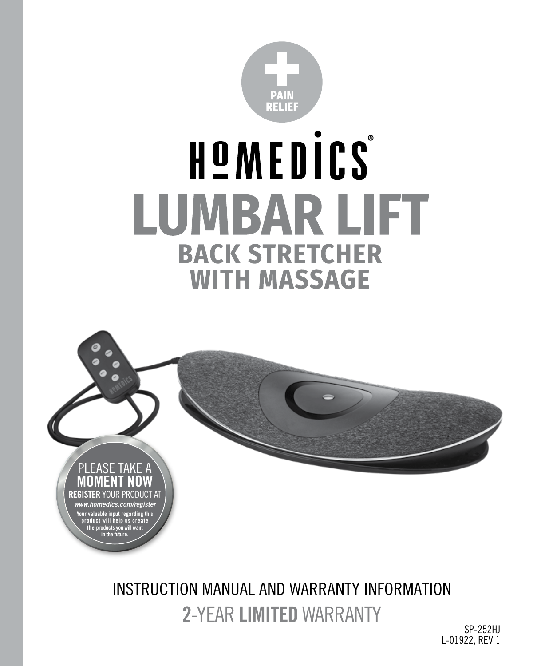

# HOMEDICS® **LUMBAR LIFT BACK STRETCHER WITH MASSAGE**



**2**-YEAR **LIMITED** WARRANTY INSTRUCTION MANUAL AND WARRANTY INFORMATION

SP-252HJ L-01922, REV 1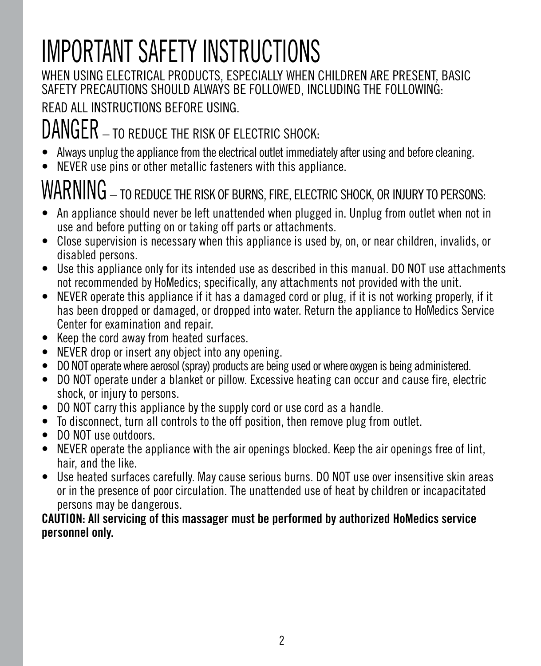## IMPORTANT SAFETY INSTRUCTIONS

#### WHEN USING ELECTRICAL PRODUCTS, ESPECIALLY WHEN CHILDREN ARE PRESENT, BASIC SAFETY PRECAUTIONS SHOULD ALWAYS BE FOLLOWED, INCLUDING THE FOLLOWING:

READ ALL INSTRUCTIONS BEFORE USING.

### DANGER – TO REDUCE THE RISK OF ELECTRIC SHOCK:

- Always unplug the appliance from the electrical outlet immediately after using and before cleaning.
- NEVER use pins or other metallic fasteners with this appliance.

## $\text{WARNING}$  – to reduce the risk of burns, fire, electric shock, or injury to persons:

- An appliance should never be left unattended when plugged in. Unplug from outlet when not in use and before putting on or taking off parts or attachments.
- Close supervision is necessary when this appliance is used by, on, or near children, invalids, or disabled persons.
- Use this appliance only for its intended use as described in this manual. DO NOT use attachments not recommended by HoMedics; specifically, any attachments not provided with the unit.
- NEVER operate this appliance if it has a damaged cord or plug, if it is not working properly, if it has been dropped or damaged, or dropped into water. Return the appliance to HoMedics Service Center for examination and repair.
- Keep the cord away from heated surfaces.
- NEVER drop or insert any object into any opening.
- DO NOT operate where aerosol (spray) products are being used or where oxygen is being administered.
- DO NOT operate under a blanket or pillow. Excessive heating can occur and cause fire, electric shock, or injury to persons.
- DO NOT carry this appliance by the supply cord or use cord as a handle.
- To disconnect, turn all controls to the off position, then remove plug from outlet.
- DO NOT use outdoors.
- NEVER operate the appliance with the air openings blocked. Keep the air openings free of lint, hair, and the like.
- Use heated surfaces carefully. May cause serious burns. DO NOT use over insensitive skin areas or in the presence of poor circulation. The unattended use of heat by children or incapacitated persons may be dangerous.

#### **CAUTION: All servicing of this massager must be performed by authorized HoMedics service personnel only.**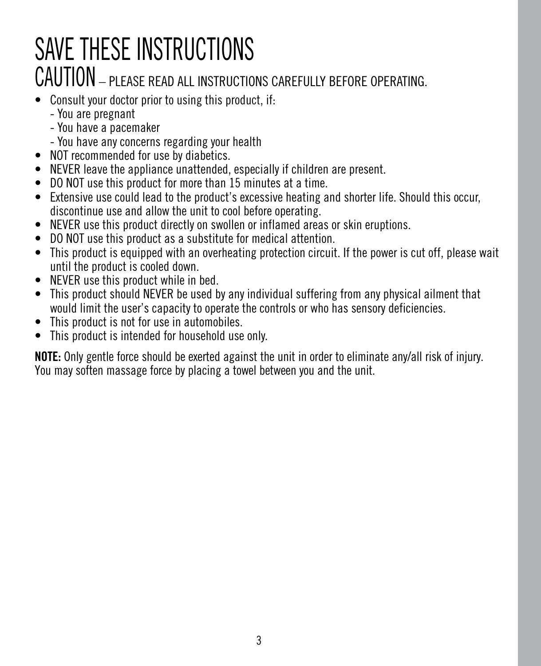## SAVE THESE INSTRUCTIONS CAUTION – PLEASE READ ALL INSTRUCTIONS CAREFULLY BEFORE OPERATING.

- Consult your doctor prior to using this product, if:
	- You are pregnant
	- You have a pacemaker
	- You have any concerns regarding your health
- NOT recommended for use by diabetics.
- NEVER leave the appliance unattended, especially if children are present.
- DO NOT use this product for more than 15 minutes at a time.
- Extensive use could lead to the product's excessive heating and shorter life. Should this occur, discontinue use and allow the unit to cool before operating.
- NEVER use this product directly on swollen or inflamed areas or skin eruptions.
- DO NOT use this product as a substitute for medical attention.
- This product is equipped with an overheating protection circuit. If the power is cut off, please wait until the product is cooled down.
- NEVER use this product while in bed.
- This product should NEVER be used by any individual suffering from any physical ailment that would limit the user's capacity to operate the controls or who has sensory deficiencies.
- This product is not for use in automobiles.
- This product is intended for household use only.

**NOTE:** Only gentle force should be exerted against the unit in order to eliminate any/all risk of injury. You may soften massage force by placing a towel between you and the unit.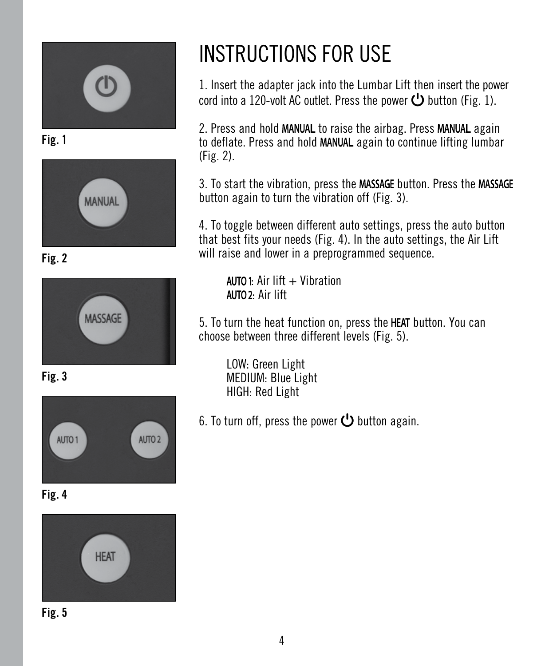

**Fig. 1**



**Fig. 2**



**Fig. 3**



**Fig. 4**



**Fig. 5**

## INSTRUCTIONS FOR USE

1. Insert the adapter jack into the Lumbar Lift then insert the power cord into a 120-volt AC outlet. Press the power  $\bigcup$  button (Fig. 1).

2. Press and hold MANUAL to raise the airbag. Press MANUAL again to deflate. Press and hold MANUAL again to continue lifting lumbar (Fig. 2).

3. To start the vibration, press the MASSAGE button. Press the MASSAGE button again to turn the vibration off (Fig. 3).

4. To toggle between different auto settings, press the auto button that best fits your needs (Fig. 4). In the auto settings, the Air Lift will raise and lower in a preprogrammed sequence.

 $AUTO1:$  Air lift  $+$  Vibration AUTO 2: Air lift

5. To turn the heat function on, press the HEAT button. You can choose between three different levels (Fig. 5).

LOW: Green Light MEDIUM: Blue Light HIGH: Red Light

6. To turn off, press the power  $\bigcup$  button again.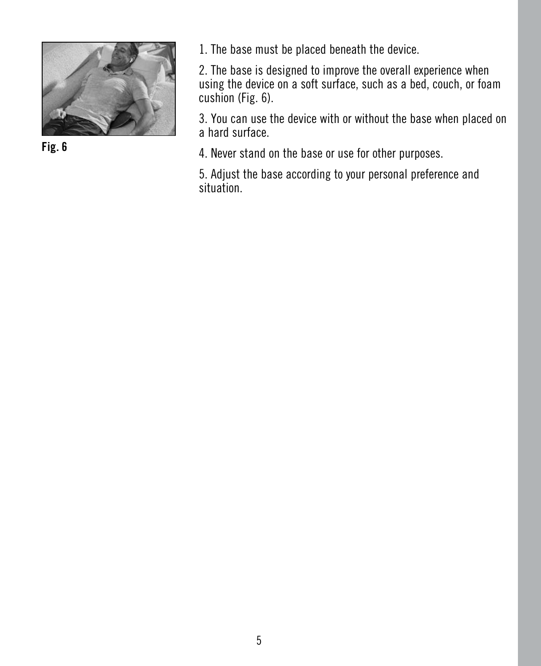

**Fig. 6**

1. The base must be placed beneath the device.

2. The base is designed to improve the overall experience when using the device on a soft surface, such as a bed, couch, or foam cushion (Fig. 6).

3. You can use the device with or without the base when placed on a hard surface.

4. Never stand on the base or use for other purposes.

5. Adjust the base according to your personal preference and situation.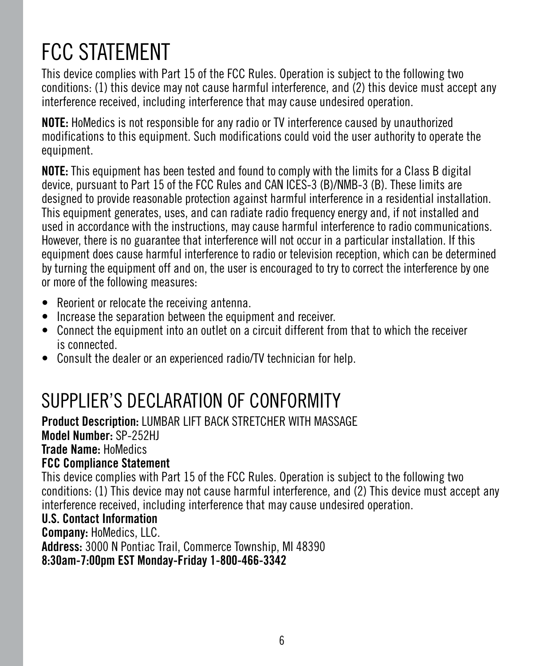### FCC STATEMENT

This device complies with Part 15 of the FCC Rules. Operation is subject to the following two conditions: (1) this device may not cause harmful interference, and (2) this device must accept any interference received, including interference that may cause undesired operation.

**NOTE:** HoMedics is not responsible for any radio or TV interference caused by unauthorized modifications to this equipment. Such modifications could void the user authority to operate the equipment.

**NOTE:** This equipment has been tested and found to comply with the limits for a Class B digital device, pursuant to Part 15 of the FCC Rules and CAN ICES-3 (B)/NMB-3 (B). These limits are designed to provide reasonable protection against harmful interference in a residential installation. This equipment generates, uses, and can radiate radio frequency energy and, if not installed and used in accordance with the instructions, may cause harmful interference to radio communications. However, there is no guarantee that interference will not occur in a particular installation. If this equipment does cause harmful interference to radio or television reception, which can be determined by turning the equipment off and on, the user is encouraged to try to correct the interference by one or more of the following measures:

- Reorient or relocate the receiving antenna.
- Increase the separation between the equipment and receiver.
- Connect the equipment into an outlet on a circuit different from that to which the receiver is connected.
- Consult the dealer or an experienced radio/TV technician for help.

### SUPPLIER'S DECLARATION OF CONFORMITY

**Product Description:** LUMBAR LIFT BACK STRETCHER WITH MASSAGE **Model Number:** SP-252HJ **Trade Name:** HoMedics **FCC Compliance Statement**

This device complies with Part 15 of the FCC Rules. Operation is subject to the following two conditions: (1) This device may not cause harmful interference, and (2) This device must accept any interference received, including interference that may cause undesired operation.

#### **U.S. Contact Information**

**Company:** HoMedics, LLC.

**Address:** 3000 N Pontiac Trail, Commerce Township, MI 48390

**8:30am-7:00pm EST Monday-Friday 1-800-466-3342**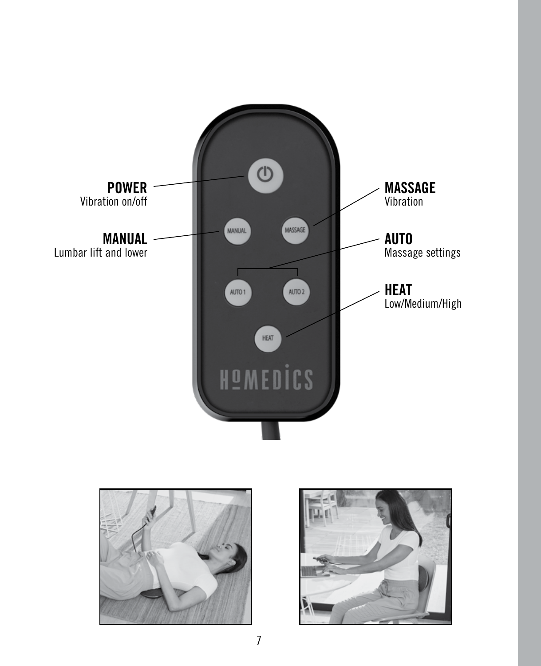



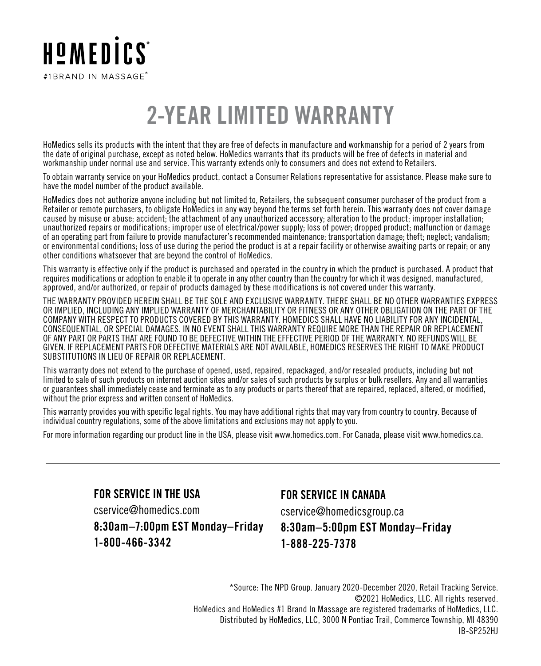

### **2-YEAR LIMITED WARRANTY**

HoMedics sells its products with the intent that they are free of defects in manufacture and workmanship for a period of 2 years from the date of original purchase, except as noted below. HoMedics warrants that its products will be free of defects in material and workmanship under normal use and service. This warranty extends only to consumers and does not extend to Retailers.

To obtain warranty service on your HoMedics product, contact a Consumer Relations representative for assistance. Please make sure to have the model number of the product available.

HoMedics does not authorize anyone including but not limited to, Retailers, the subsequent consumer purchaser of the product from a Retailer or remote purchasers, to obligate HoMedics in any way beyond the terms set forth herein. This warranty does not cover damage caused by misuse or abuse; accident; the attachment of any unauthorized accessory; alteration to the product; improper installation; unauthorized repairs or modifications; improper use of electrical/power supply; loss of power; dropped product; malfunction or damage of an operating part from failure to provide manufacturer's recommended maintenance; transportation damage; theft; neglect; vandalism; or environmental conditions; loss of use during the period the product is at a repair facility or otherwise awaiting parts or repair; or any other conditions whatsoever that are beyond the control of HoMedics.

This warranty is effective only if the product is purchased and operated in the country in which the product is purchased. A product that requires modifications or adoption to enable it to operate in any other country than the country for which it was designed, manufactured, approved, and/or authorized, or repair of products damaged by these modifications is not covered under this warranty.

THE WARRANTY PROVIDED HEREIN SHALL BE THE SOLE AND EXCLUSIVE WARRANTY. THERE SHALL BE NO OTHER WARRANTIES EXPRESS OR IMPLIED, INCLUDING ANY IMPLIED WARRANTY OF MERCHANTABILITY OR FITNESS OR ANY OTHER OBLIGATION ON THE PART OF THE COMPANY WITH RESPECT TO PRODUCTS COVERED BY THIS WARRANTY. HOMEDICS SHALL HAVE NO LIABILITY FOR ANY INCIDENTAL, CONSEQUENTIAL, OR SPECIAL DAMAGES. IN NO EVENT SHALL THIS WARRANTY REQUIRE MORE THAN THE REPAIR OR REPLACEMENT OF ANY PART OR PARTS THAT ARE FOUND TO BE DEFECTIVE WITHIN THE EFFECTIVE PERIOD OF THE WARRANTY. NO REFUNDS WILL BE GIVEN. IF REPLACEMENT PARTS FOR DEFECTIVE MATERIALS ARE NOT AVAILABLE, HOMEDICS RESERVES THE RIGHT TO MAKE PRODUCT SUBSTITUTIONS IN LIEU OF REPAIR OR REPLACEMENT.

This warranty does not extend to the purchase of opened, used, repaired, repackaged, and/or resealed products, including but not limited to sale of such products on internet auction sites and/or sales of such products by surplus or bulk resellers. Any and all warranties or guarantees shall immediately cease and terminate as to any products or parts thereof that are repaired, replaced, altered, or modified, without the prior express and written consent of HoMedics.

This warranty provides you with specific legal rights. You may have additional rights that may vary from country to country. Because of individual country regulations, some of the above limitations and exclusions may not apply to you.

For more information regarding our product line in the USA, please visit www.homedics.com. For Canada, please visit www.homedics.ca.

**FOR SERVICE IN THE USA**

cservice@homedics.com

**8:30am–7:00pm EST Monday–Friday 1-800-466-3342**

#### **FOR SERVICE IN CANADA**

cservice@homedicsgroup.ca

#### **8:30am–5:00pm EST Monday–Friday 1-888-225-7378**

\*Source: The NPD Group. January 2020-December 2020, Retail Tracking Service. ©2021 HoMedics, LLC. All rights reserved. HoMedics and HoMedics #1 Brand In Massage are registered trademarks of HoMedics, LLC. Distributed by HoMedics, LLC, 3000 N Pontiac Trail, Commerce Township, MI 48390 IB-SP252HJ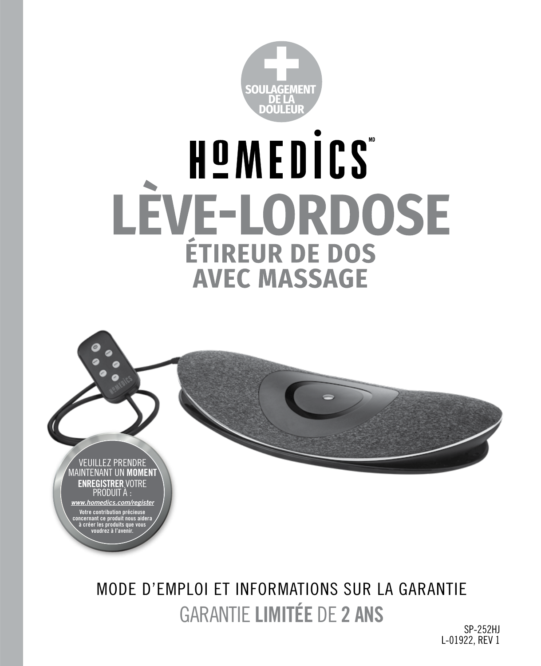

# HOMEDICS **LEVE-LORDOSE** ÉTIREUR DE DOS **AVEC MASSAGE**



GARANTIE **LIMITÉE** DE **2 ANS** MODE D'EMPLOI ET INFORMATIONS SUR LA GARANTIE

SP-252HJ L-01922, REV 1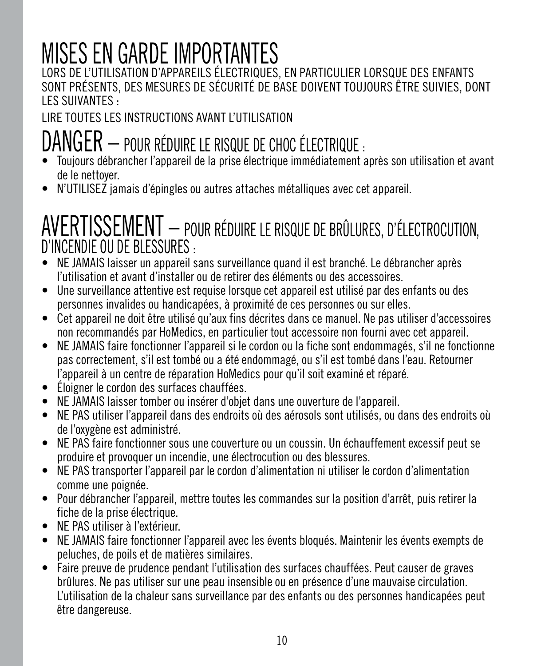## MISES EN GARDE IMPORTANTES

LORS DE L'UTILISATION D'APPAREILS ÉLECTRIQUES, EN PARTICULIER LORSQUE DES ENFANTS SONT PRÉSENTS, DES MESURES DE SÉCURITÉ DE BASE DOIVENT TOUJOURS ÊTRE SUIVIES, DONT LES SUIVANTES :

### LIRE TOUTES LES INSTRUCTIONS AVANT L'UTILISATION

## DANGER – POUR RÉDUIRE LE RISQUE DE CHOC ÉLECTRIQUE : • Toujours débrancher l'appareil de la prise électrique immédiatement après son utilisation et avant

- de le nettoyer.
- N'UTILISEZ jamais d'épingles ou autres attaches métalliques avec cet appareil.

### AVERTISSEMENT – POUR RÉDUIRE LE RISQUE DE BRÛLURES, D'ÉLECTROCUTION, D'INCENDIE OU DE BLESSURES :

- NE JAMAIS laisser un appareil sans surveillance quand il est branché. Le débrancher après l'utilisation et avant d'installer ou de retirer des éléments ou des accessoires.
- Une surveillance attentive est requise lorsque cet appareil est utilisé par des enfants ou des personnes invalides ou handicapées, à proximité de ces personnes ou sur elles.
- Cet appareil ne doit être utilisé qu'aux fins décrites dans ce manuel. Ne pas utiliser d'accessoires non recommandés par HoMedics, en particulier tout accessoire non fourni avec cet appareil.
- NE JAMAIS faire fonctionner l'appareil si le cordon ou la fiche sont endommagés, s'il ne fonctionne pas correctement, s'il est tombé ou a été endommagé, ou s'il est tombé dans l'eau. Retourner l'appareil à un centre de réparation HoMedics pour qu'il soit examiné et réparé.
- Éloigner le cordon des surfaces chauffées.
- NE JAMAIS laisser tomber ou insérer d'objet dans une ouverture de l'appareil.
- NE PAS utiliser l'appareil dans des endroits où des aérosols sont utilisés, ou dans des endroits où de l'oxygène est administré.
- NE PAS faire fonctionner sous une couverture ou un coussin. Un échauffement excessif peut se produire et provoquer un incendie, une électrocution ou des blessures.
- NE PAS transporter l'appareil par le cordon d'alimentation ni utiliser le cordon d'alimentation comme une poignée.
- Pour débrancher l'appareil, mettre toutes les commandes sur la position d'arrêt, puis retirer la fiche de la prise électrique.
- NE PAS utiliser à l'extérieur.
- NE JAMAIS faire fonctionner l'appareil avec les évents bloqués. Maintenir les évents exempts de peluches, de poils et de matières similaires.
- Faire preuve de prudence pendant l'utilisation des surfaces chauffées. Peut causer de graves brûlures. Ne pas utiliser sur une peau insensible ou en présence d'une mauvaise circulation. L'utilisation de la chaleur sans surveillance par des enfants ou des personnes handicapées peut être dangereuse.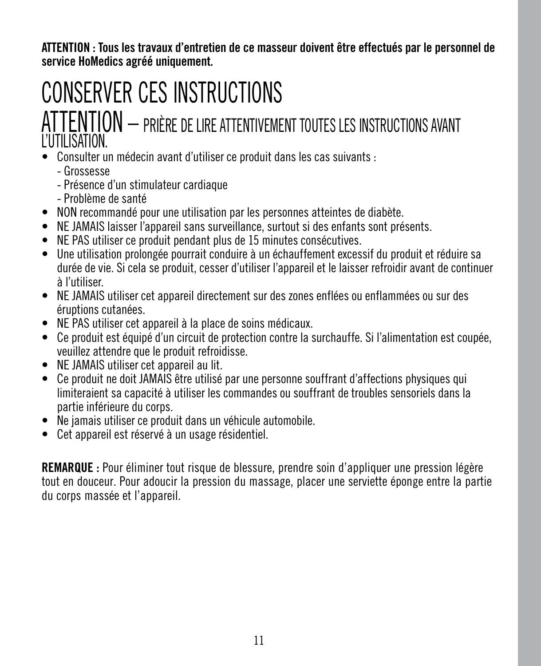**ATTENTION : Tous les travaux d'entretien de ce masseur doivent être effectués par le personnel de service HoMedics agréé uniquement.**

## CONSERVER CES INSTRUCTIONS

### ATTENTION – PRIÈRE DE LIRE ATTENTIVEMENT TOUTES LES INSTRUCTIONS AVANT L'UTILISATION.

- Consulter un médecin avant d'utiliser ce produit dans les cas suivants :
	- Grossesse
	- Présence d'un stimulateur cardiaque
	- Problème de santé
- NON recommandé pour une utilisation par les personnes atteintes de diabète.
- NE JAMAIS laisser l'appareil sans surveillance, surtout si des enfants sont présents.
- NE PAS utiliser ce produit pendant plus de 15 minutes consécutives.
- Une utilisation prolongée pourrait conduire à un échauffement excessif du produit et réduire sa durée de vie. Si cela se produit, cesser d'utiliser l'appareil et le laisser refroidir avant de continuer à l'utiliser.
- NE JAMAIS utiliser cet appareil directement sur des zones enflées ou enflammées ou sur des éruptions cutanées.
- NE PAS utiliser cet appareil à la place de soins médicaux.
- Ce produit est équipé d'un circuit de protection contre la surchauffe. Si l'alimentation est coupée, veuillez attendre que le produit refroidisse.
- NE JAMAIS utiliser cet appareil au lit.
- Ce produit ne doit JAMAIS être utilisé par une personne souffrant d'affections physiques qui limiteraient sa capacité à utiliser les commandes ou souffrant de troubles sensoriels dans la partie inférieure du corps.
- Ne jamais utiliser ce produit dans un véhicule automobile.
- Cet appareil est réservé à un usage résidentiel.

**REMARQUE :** Pour éliminer tout risque de blessure, prendre soin d'appliquer une pression légère tout en douceur. Pour adoucir la pression du massage, placer une serviette éponge entre la partie du corps massée et l'appareil.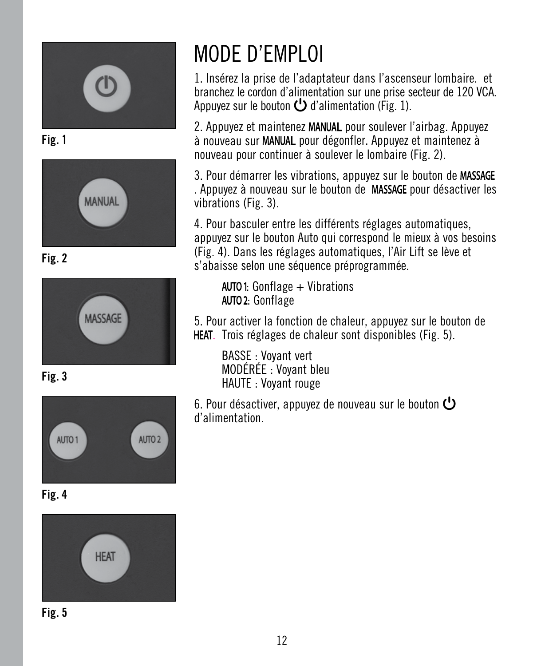

**Fig. 1**



**Fig. 2**



**Fig. 3**



**Fig. 4**



**Fig. 5**

### MODE D'EMPLOI

1. Insérez la prise de l'adaptateur dans l'ascenseur lombaire. et branchez le cordon d'alimentation sur une prise secteur de 120 VCA. Appuyez sur le bouton  $\bigcup$  d'alimentation (Fig. 1).

2. Appuyez et maintenez MANUAL pour soulever l'airbag. Appuyez à nouveau sur MANUAL pour dégonfler. Appuyez et maintenez à nouveau pour continuer à soulever le lombaire (Fig. 2).

3. Pour démarrer les vibrations, appuyez sur le bouton de . Appuyez à nouveau sur le bouton de MASSAGE pour désactiver les vibrations (Fig. 3).

4. Pour basculer entre les différents réglages automatiques, appuyez sur le bouton Auto qui correspond le mieux à vos besoins (Fig. 4). Dans les réglages automatiques, l'Air Lift se lève et s'abaisse selon une séquence préprogrammée.

 $AUTO1:$  Gonflage  $+$  Vibrations AUTO 2: Gonflage

5. Pour activer la fonction de chaleur, appuyez sur le bouton de HEAT. Trois réglages de chaleur sont disponibles (Fig. 5).

BASSE : Voyant vert MODÉRÉE : Voyant bleu HAUTE : Voyant rouge

6. Pour désactiver, appuyez de nouveau sur le bouton  $\mathbf{\mathbf{\mathbf{\mathsf{U}}}}$ d'alimentation.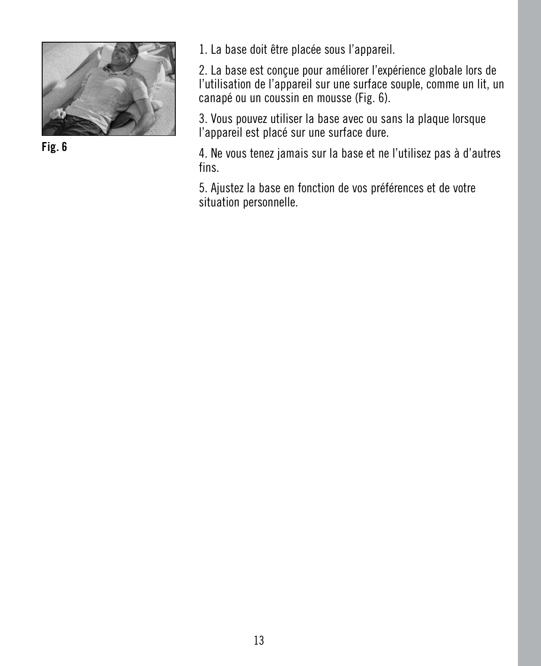

**Fig. 6**

1. La base doit être placée sous l'appareil.

2. La base est conçue pour améliorer l'expérience globale lors de l'utilisation de l'appareil sur une surface souple, comme un lit, un canapé ou un coussin en mousse (Fig. 6).

3. Vous pouvez utiliser la base avec ou sans la plaque lorsque l'appareil est placé sur une surface dure.

4. Ne vous tenez jamais sur la base et ne l'utilisez pas à d'autres fins.

5. Ajustez la base en fonction de vos préférences et de votre situation personnelle.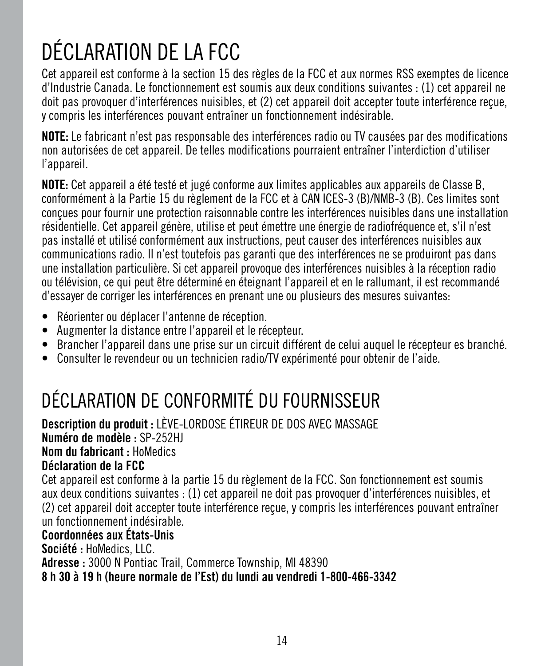## DÉCLARATION DE LA FCC

Cet appareil est conforme à la section 15 des règles de la FCC et aux normes RSS exemptes de licence d'Industrie Canada. Le fonctionnement est soumis aux deux conditions suivantes : (1) cet appareil ne doit pas provoquer d'interférences nuisibles, et (2) cet appareil doit accepter toute interférence reçue, y compris les interférences pouvant entraîner un fonctionnement indésirable.

**NOTE:** Le fabricant n'est pas responsable des interférences radio ou TV causées par des modifications non autorisées de cet appareil. De telles modifications pourraient entraîner l'interdiction d'utiliser l'appareil.

**NOTE:** Cet appareil a été testé et jugé conforme aux limites applicables aux appareils de Classe B, conformément à la Partie 15 du règlement de la FCC et à CAN ICES-3 (B)/NMB-3 (B). Ces limites sont conçues pour fournir une protection raisonnable contre les interférences nuisibles dans une installation résidentielle. Cet appareil génère, utilise et peut émettre une énergie de radiofréquence et, s'il n'est pas installé et utilisé conformément aux instructions, peut causer des interférences nuisibles aux communications radio. Il n'est toutefois pas garanti que des interférences ne se produiront pas dans une installation particulière. Si cet appareil provoque des interférences nuisibles à la réception radio ou télévision, ce qui peut être déterminé en éteignant l'appareil et en le rallumant, il est recommandé d'essayer de corriger les interférences en prenant une ou plusieurs des mesures suivantes:

- Réorienter ou déplacer l'antenne de réception.
- Augmenter la distance entre l'appareil et le récepteur.
- Brancher l'appareil dans une prise sur un circuit différent de celui auquel le récepteur es branché.
- Consulter le revendeur ou un technicien radio/TV expérimenté pour obtenir de l'aide.

### DÉCLARATION DE CONFORMITÉ DU FOURNISSEUR

**Description du produit :** LÈVE-LORDOSE ÉTIREUR DE DOS AVEC MASSAGE **Numéro de modèle :** SP-252HJ **Nom du fabricant :** HoMedics **Déclaration de la FCC**

Cet appareil est conforme à la partie 15 du règlement de la FCC. Son fonctionnement est soumis aux deux conditions suivantes : (1) cet appareil ne doit pas provoquer d'interférences nuisibles, et (2) cet appareil doit accepter toute interférence reçue, y compris les interférences pouvant entraîner un fonctionnement indésirable.

#### **Coordonnées aux États-Unis**

**Société :** HoMedics, LLC.

**Adresse :** 3000 N Pontiac Trail, Commerce Township, MI 48390

**8 h 30 à 19 h (heure normale de l'Est) du lundi au vendredi 1-800-466-3342**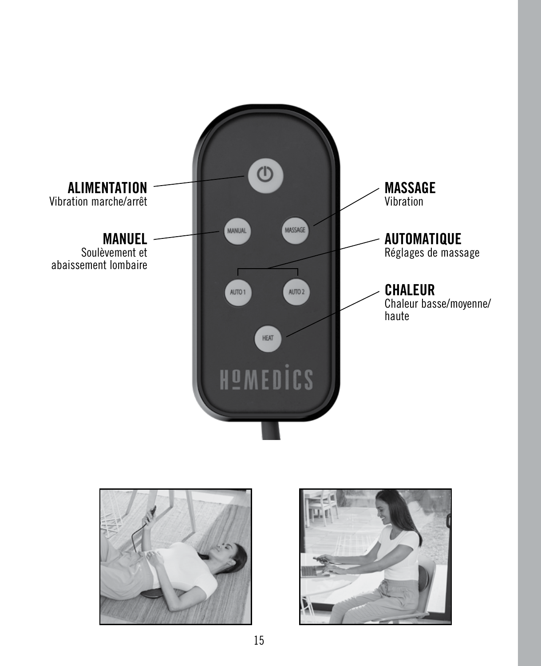



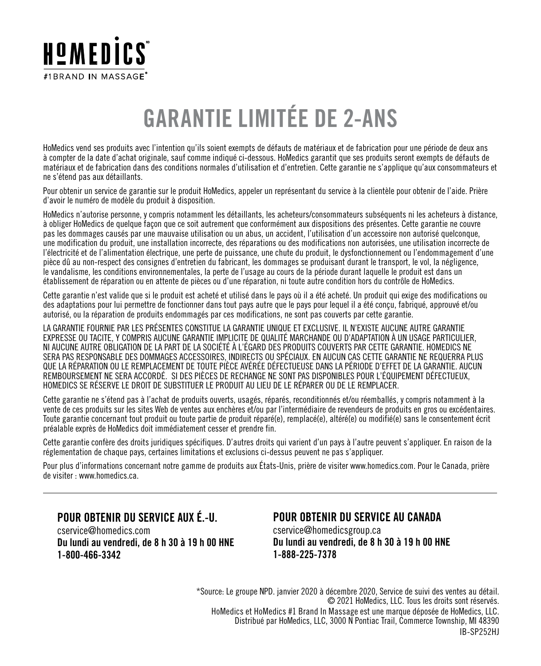

### **GARANTIE LIMITÉE DE 2-ANS**

HoMedics vend ses produits avec l'intention qu'ils soient exempts de défauts de matériaux et de fabrication pour une période de deux ans à compter de la date d'achat originale, sauf comme indiqué ci-dessous. HoMedics garantit que ses produits seront exempts de défauts de matériaux et de fabrication dans des conditions normales d'utilisation et d'entretien. Cette garantie ne s'applique qu'aux consommateurs et ne s'étend pas aux détaillants.

Pour obtenir un service de garantie sur le produit HoMedics, appeler un représentant du service à la clientèle pour obtenir de l'aide. Prière d'avoir le numéro de modèle du produit à disposition.

HoMedics n'autorise personne, y compris notamment les détaillants, les acheteurs/consommateurs subséquents ni les acheteurs à distance, à obliger HoMedics de quelque façon que ce soit autrement que conformément aux dispositions des présentes. Cette garantie ne couvre pas les dommages causés par une mauvaise utilisation ou un abus, un accident, l'utilisation d'un accessoire non autorisé quelconque, une modification du produit, une installation incorrecte, des réparations ou des modifications non autorisées, une utilisation incorrecte de l'électricité et de l'alimentation électrique, une perte de puissance, une chute du produit, le dysfonctionnement ou l'endommagement d'une pièce dû au non-respect des consignes d'entretien du fabricant, les dommages se produisant durant le transport, le vol, la négligence, le vandalisme, les conditions environnementales, la perte de l'usage au cours de la période durant laquelle le produit est dans un établissement de réparation ou en attente de pièces ou d'une réparation, ni toute autre condition hors du contrôle de HoMedics.

Cette garantie n'est valide que si le produit est acheté et utilisé dans le pays où il a été acheté. Un produit qui exige des modifications ou des adaptations pour lui permettre de fonctionner dans tout pays autre que le pays pour lequel il a été conçu, fabriqué, approuvé et/ou autorisé, ou la réparation de produits endommagés par ces modifications, ne sont pas couverts par cette garantie.

LA GARANTIE FOURNIE PAR LES PRÉSENTES CONSTITUE LA GARANTIE UNIQUE ET EXCLUSIVE. IL N'EXISTE AUCUNE AUTRE GARANTIE EXPRESSE OU TACITE, Y COMPRIS AUCUNE GARANTIE IMPLICITE DE QUALITÉ MARCHANDE OU D'ADAPTATION À UN USAGE PARTICULIER, NI AUCUNE AUTRE OBLIGATION DE LA PART DE LA SOCIÉTÉ À L'ÉGARD DES PRODUITS COUVERTS PAR CETTE GARANTIE. HOMEDICS NE SERA PAS RESPONSABLE DES DOMMAGES ACCESSOIRES, INDIRECTS OU SPÉCIAUX. EN AUCUN CAS CETTE GARANTIE NE REQUERRA PLUS QUE LA RÉPARATION OU LE REMPLACEMENT DE TOUTE PIÈCE AVÉRÉE DÉFECTUEUSE DANS LA PÉRIODE D'EFFET DE LA GARANTIE. AUCUN REMBOURSEMENT NE SERA ACCORDÉ. SI DES PIÈCES DE RECHANGE NE SONT PAS DISPONIBLES POUR L'ÉQUIPEMENT DÉFECTUEUX, HOMEDICS SE RÉSERVE LE DROIT DE SUBSTITUER LE PRODUIT AU LIEU DE LE RÉPARER OU DE LE REMPLACER.

Cette garantie ne s'étend pas à l'achat de produits ouverts, usagés, réparés, reconditionnés et/ou réemballés, y compris notamment à la vente de ces produits sur les sites Web de ventes aux enchères et/ou par l'intermédiaire de revendeurs de produits en gros ou excédentaires. Toute garantie concernant tout produit ou toute partie de produit réparé(e), remplacé(e), altéré(e) ou modifié(e) sans le consentement écrit préalable exprès de HoMedics doit immédiatement cesser et prendre fin.

Cette garantie confère des droits juridiques spécifiques. D'autres droits qui varient d'un pays à l'autre peuvent s'appliquer. En raison de la réglementation de chaque pays, certaines limitations et exclusions ci-dessus peuvent ne pas s'appliquer.

Pour plus d'informations concernant notre gamme de produits aux États-Unis, prière de visiter www.homedics.com. Pour le Canada, prière de visiter : www.homedics.ca.

#### **POUR OBTENIR DU SERVICE AUX É.-U.**

cservice@homedics.com **Du lundi au vendredi, de 8 h 30 à 19 h 00 HNE 1-800-466-3342**

#### **POUR OBTENIR DU SERVICE AU CANADA**

cservice@homedicsgroup.ca **Du lundi au vendredi, de 8 h 30 à 19 h 00 HNE 1-888-225-7378**

\*Source: Le groupe NPD. janvier 2020 à décembre 2020, Service de suivi des ventes au détail. © 2021 HoMedics, LLC. Tous les droits sont réservés. HoMedics et HoMedics #1 Brand In Massage est une marque déposée de HoMedics, LLC. Distribué par HoMedics, LLC, 3000 N Pontiac Trail, Commerce Township, MI 48390 IB-SP252HJ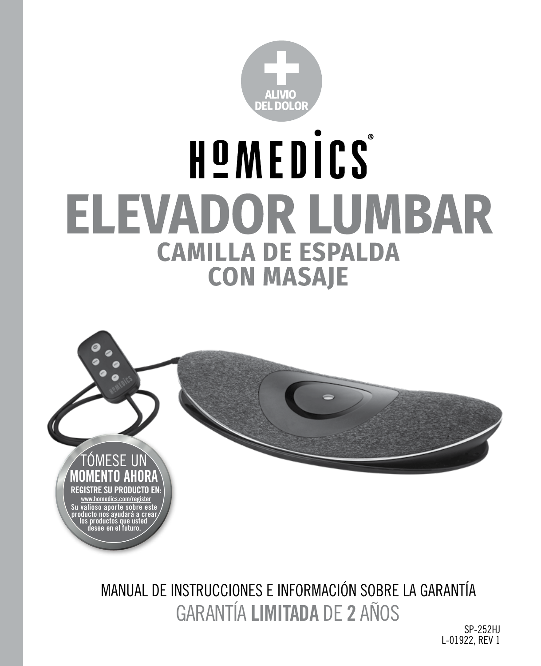

# HOMEDICS® **ELEVADOR LUMBAR CAMILLA DE ESPALDA CON MASAJE**



GARANTÍA **LIMITADA** DE **2** AÑOS MANUAL DE INSTRUCCIONES E INFORMACIÓN SOBRE LA GARANTÍA

SP-252HJ L-01922, RFV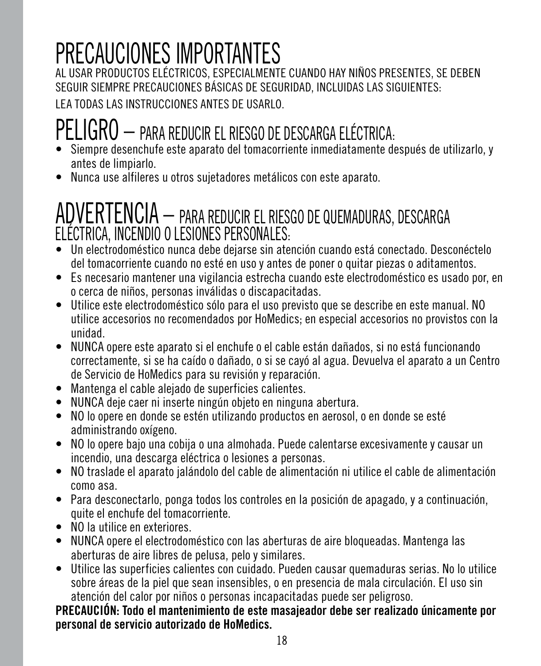## PRECAUCIONES IMPORTANTES

AL USAR PRODUCTOS ELÉCTRICOS, ESPECIALMENTE CUANDO HAY NIÑOS PRESENTES, SE DEBEN SEGUIR SIEMPRE PRECAUCIONES BÁSICAS DE SEGURIDAD, INCLUIDAS LAS SIGUIENTES:

LEA TODAS LAS INSTRUCCIONES ANTES DE USARLO.

### PELIGRO – PARA REDUCIR EL RIESGO DE DESCARGA ELÉCTRICA:

- Siempre desenchufe este aparato del tomacorriente inmediatamente después de utilizarlo, y antes de limpiarlo.
- Nunca use alfileres u otros sujetadores metálicos con este aparato.

# ADVERTENCIA – PARA REDUCIR EL RIESGO DE QUEMADURAS, DESCARGA ELÉCTRICA, INCENDIO O LESIONES PERSONALES:

- Un electrodoméstico nunca debe dejarse sin atención cuando está conectado. Desconéctelo del tomacorriente cuando no esté en uso y antes de poner o quitar piezas o aditamentos.
- Es necesario mantener una vigilancia estrecha cuando este electrodoméstico es usado por, en o cerca de niños, personas inválidas o discapacitadas.
- Utilice este electrodoméstico sólo para el uso previsto que se describe en este manual. NO utilice accesorios no recomendados por HoMedics; en especial accesorios no provistos con la unidad.
- NUNCA opere este aparato si el enchufe o el cable están dañados, si no está funcionando correctamente, si se ha caído o dañado, o si se cayó al agua. Devuelva el aparato a un Centro de Servicio de HoMedics para su revisión y reparación.
- Mantenga el cable alejado de superficies calientes.
- NUNCA deje caer ni inserte ningún objeto en ninguna abertura.
- NO lo opere en donde se estén utilizando productos en aerosol, o en donde se esté administrando oxígeno.
- NO lo opere bajo una cobija o una almohada. Puede calentarse excesivamente y causar un incendio, una descarga eléctrica o lesiones a personas.
- NO traslade el aparato jalándolo del cable de alimentación ni utilice el cable de alimentación como asa.
- Para desconectarlo, ponga todos los controles en la posición de apagado, y a continuación, quite el enchufe del tomacorriente.
- NO la utilice en exteriores.
- NUNCA opere el electrodoméstico con las aberturas de aire bloqueadas. Mantenga las aberturas de aire libres de pelusa, pelo y similares.
- Utilice las superficies calientes con cuidado. Pueden causar quemaduras serias. No lo utilice sobre áreas de la piel que sean insensibles, o en presencia de mala circulación. El uso sin atención del calor por niños o personas incapacitadas puede ser peligroso.

#### **PRECAUCIÓN: Todo el mantenimiento de este masajeador debe ser realizado únicamente por personal de servicio autorizado de HoMedics.**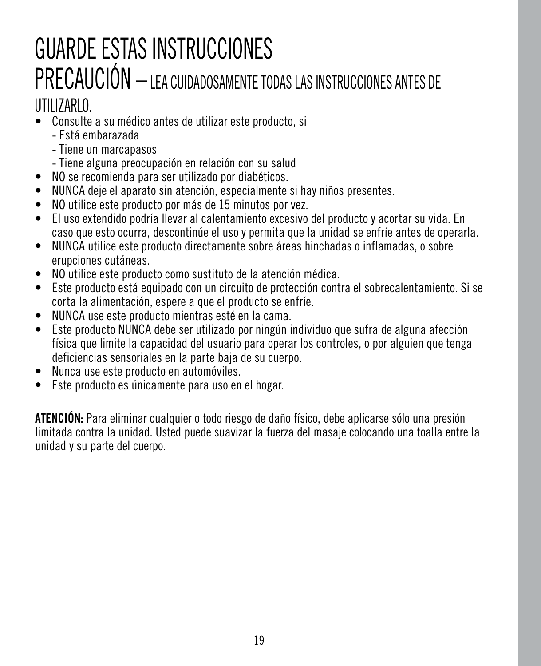### GUARDE ESTAS INSTRUCCIONES PRECAUCIÓN – LEA CUIDADOSAMENTE TODAS LAS INSTRUCCIONES ANTES DE UTILIZARLO.

#### • Consulte a su médico antes de utilizar este producto, si

- Está embarazada
- Tiene un marcapasos
- Tiene alguna preocupación en relación con su salud
- NO se recomienda para ser utilizado por diabéticos.
- NUNCA deje el aparato sin atención, especialmente si hay niños presentes.
- NO utilice este producto por más de 15 minutos por vez.
- El uso extendido podría llevar al calentamiento excesivo del producto y acortar su vida. En caso que esto ocurra, descontinúe el uso y permita que la unidad se enfríe antes de operarla.
- NUNCA utilice este producto directamente sobre áreas hinchadas o inflamadas, o sobre erupciones cutáneas.
- NO utilice este producto como sustituto de la atención médica.
- Este producto está equipado con un circuito de protección contra el sobrecalentamiento. Si se corta la alimentación, espere a que el producto se enfríe.
- NUNCA use este producto mientras esté en la cama.
- Este producto NUNCA debe ser utilizado por ningún individuo que sufra de alguna afección física que limite la capacidad del usuario para operar los controles, o por alguien que tenga deficiencias sensoriales en la parte baja de su cuerpo.
- Nunca use este producto en automóviles.
- Este producto es únicamente para uso en el hogar.

**ATENCIÓN:** Para eliminar cualquier o todo riesgo de daño físico, debe aplicarse sólo una presión limitada contra la unidad. Usted puede suavizar la fuerza del masaje colocando una toalla entre la unidad y su parte del cuerpo.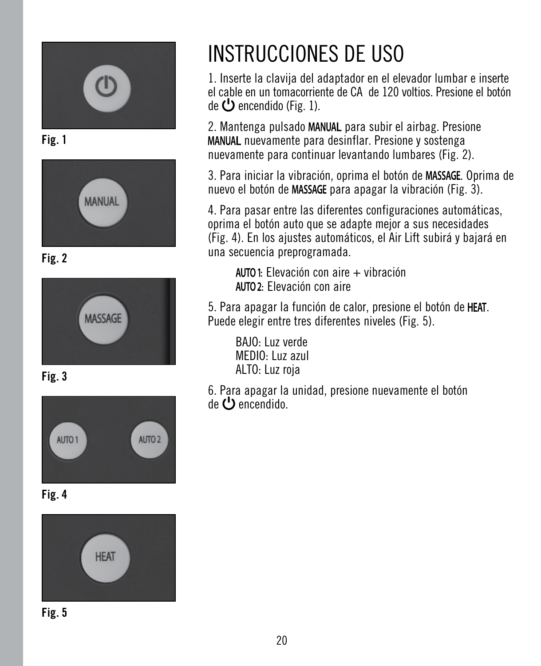

**Fig. 1**



**Fig. 2**



**Fig. 3**



**Fig. 4**



**Fig. 5**

### INSTRUCCIONES DE USO

1. Inserte la clavija del adaptador en el elevador lumbar e inserte el cable en un tomacorriente de CA de 120 voltios. Presione el botón de  $\bigcup$  encendido (Fig. 1).

2. Mantenga pulsado MANUAL para subir el airbag. Presione MANUAL nuevamente para desinflar. Presione y sostenga nuevamente para continuar levantando lumbares (Fig. 2).

3. Para iniciar la vibración, oprima el botón de MASSAGE. Oprima de nuevo el botón de MASSAGE para apagar la vibración (Fig. 3).

4. Para pasar entre las diferentes configuraciones automáticas, oprima el botón auto que se adapte mejor a sus necesidades (Fig. 4). En los ajustes automáticos, el Air Lift subirá y bajará en una secuencia preprogramada.

: Elevación con aire + vibración : Elevación con aire

5. Para apagar la función de calor, presione el botón de HEAT. Puede elegir entre tres diferentes niveles (Fig. 5).

BAJO: Luz verde MEDIO: Luz azul ALTO: Luz roja

6. Para apagar la unidad, presione nuevamente el botón  $de$  **D** encendido.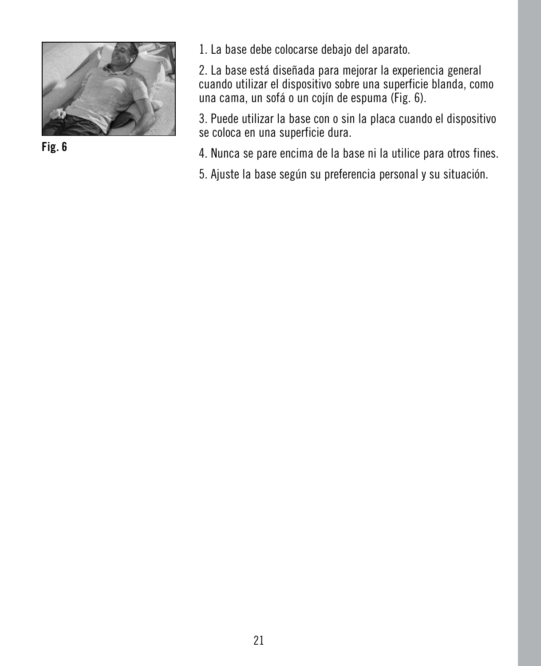

**Fig. 6**

1. La base debe colocarse debajo del aparato.

2. La base está diseñada para mejorar la experiencia general cuando utilizar el dispositivo sobre una superficie blanda, como una cama, un sofá o un cojín de espuma (Fig. 6).

3. Puede utilizar la base con o sin la placa cuando el dispositivo se coloca en una superficie dura.

4. Nunca se pare encima de la base ni la utilice para otros fines.

5. Ajuste la base según su preferencia personal y su situación.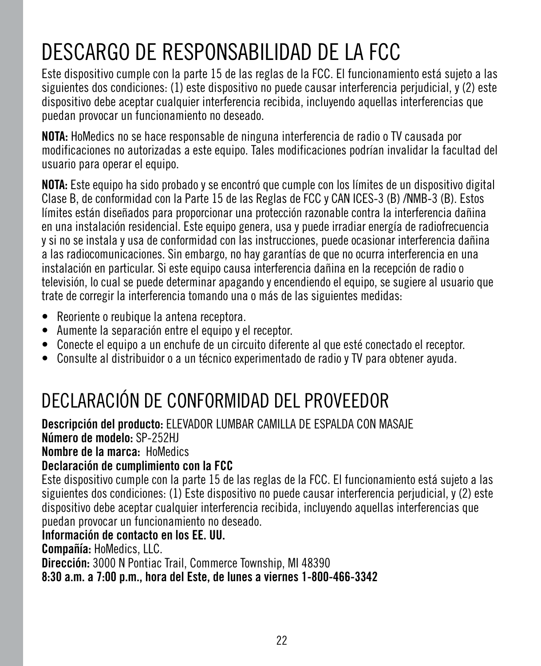### DESCARGO DE RESPONSABILIDAD DE LA FCC

Este dispositivo cumple con la parte 15 de las reglas de la FCC. El funcionamiento está sujeto a las siguientes dos condiciones: (1) este dispositivo no puede causar interferencia perjudicial, y (2) este dispositivo debe aceptar cualquier interferencia recibida, incluyendo aquellas interferencias que puedan provocar un funcionamiento no deseado.

**NOTA:** HoMedics no se hace responsable de ninguna interferencia de radio o TV causada por modificaciones no autorizadas a este equipo. Tales modificaciones podrían invalidar la facultad del usuario para operar el equipo.

**NOTA:** Este equipo ha sido probado y se encontró que cumple con los límites de un dispositivo digital Clase B, de conformidad con la Parte 15 de las Reglas de FCC y CAN ICES-3 (B) /NMB-3 (B). Estos límites están diseñados para proporcionar una protección razonable contra la interferencia dañina en una instalación residencial. Este equipo genera, usa y puede irradiar energía de radiofrecuencia y si no se instala y usa de conformidad con las instrucciones, puede ocasionar interferencia dañina a las radiocomunicaciones. Sin embargo, no hay garantías de que no ocurra interferencia en una instalación en particular. Si este equipo causa interferencia dañina en la recepción de radio o televisión, lo cual se puede determinar apagando y encendiendo el equipo, se sugiere al usuario que trate de corregir la interferencia tomando una o más de las siguientes medidas:

- Reoriente o reubique la antena receptora.
- Aumente la separación entre el equipo y el receptor.
- Conecte el equipo a un enchufe de un circuito diferente al que esté conectado el receptor.
- Consulte al distribuidor o a un técnico experimentado de radio y TV para obtener ayuda.

### DECLARACIÓN DE CONFORMIDAD DEL PROVEEDOR

**Descripción del producto:** ELEVADOR LUMBAR CAMILLA DE ESPALDA CON MASAJE **Número de modelo:** SP-252HJ

**Nombre de la marca:** HoMedics

#### **Declaración de cumplimiento con la FCC**

Este dispositivo cumple con la parte 15 de las reglas de la FCC. El funcionamiento está sujeto a las siguientes dos condiciones: (1) Este dispositivo no puede causar interferencia perjudicial, y (2) este dispositivo debe aceptar cualquier interferencia recibida, incluyendo aquellas interferencias que puedan provocar un funcionamiento no deseado.

#### **Información de contacto en los EE. UU.**

**Compañía:** HoMedics, LLC.

**Dirección:** 3000 N Pontiac Trail, Commerce Township, MI 48390

**8:30 a.m. a 7:00 p.m., hora del Este, de lunes a viernes 1-800-466-3342**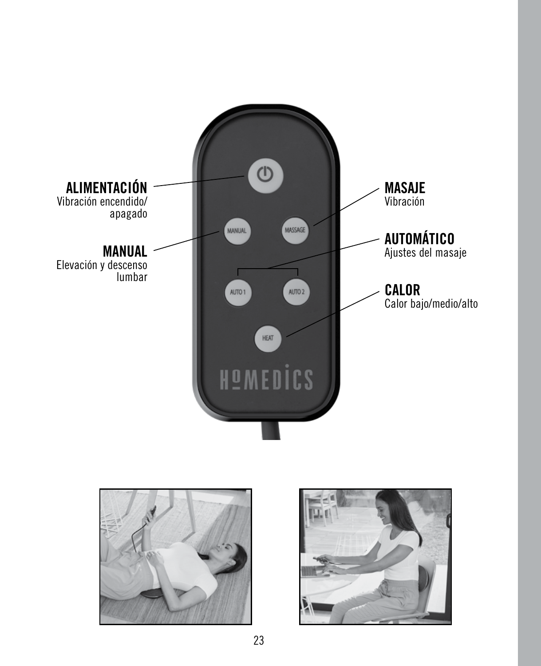